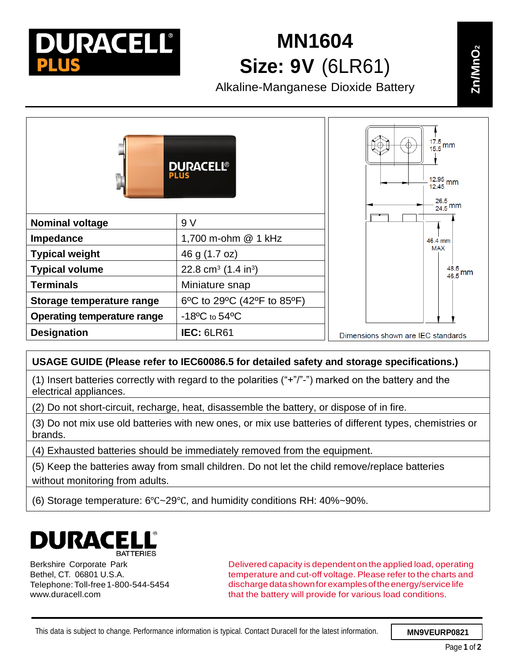

## **MN1604 <sup>2</sup> Size: 9V** (6LR61)

**Alkaline-Manganese Dioxide Battery** 

 $\frac{17.5}{15.5}$  mm ŧ **DURACELL®**  $\frac{12.95}{12.45}$  mm 26.5  $\frac{26.5}{24.5}$  mm **Nominal voltage**  $\vert 9 \vee \vert$ **Impedance** 1,700 m-ohm @ 1 kHz 46.4 mm **MAX Typical weight**  $|46 \text{ q } (1.7 \text{ oz})$ **Typical volume**  $\vert$  22.8 cm<sup>3</sup> (1.4 in<sup>3</sup>)  $\frac{48.5}{46.5}$  mm **Terminals** Miniature snap **Storage temperature range** | 6°C to 29°C (42°F to 85°F) **Operating temperature range** | -18<sup>o</sup>C to 54<sup>o</sup>C **Designation IEC:** 6LR61 Dimensions shown are IEC standards

## **USAGE GUIDE (Please refer to IEC60086.5 for detailed safety and storage specifications.)**

(1) Insert batteries correctly with regard to the polarities ("+"/"-") marked on the battery and the electrical appliances.

(2) Do not short-circuit, recharge, heat, disassemble the battery, or dispose of in fire.

(3) Do not mix use old batteries with new ones, or mix use batteries of different types, chemistries or brands.

(4) Exhausted batteries should be immediately removed from the equipment.

(5) Keep the batteries away from small children. Do not let the child remove/replace batteries without monitoring from adults.

(6) Storage temperature: 6℃~29℃, and humidity conditions RH: 40%~90%.



Berkshire Corporate Park Bethel, CT. 06801 U.S.A. Telephone:Toll-free1-800-544-5454 [www.duracell.com](http://www.duracell.com/)

Delivered capacity is dependent on the applied load, operating temperature and cut-off voltage. Please refer to the charts and discharge datashownforexamples oftheenergy/service life that the battery will provide for various load conditions.

**Zn/ MnOn**

**O2**